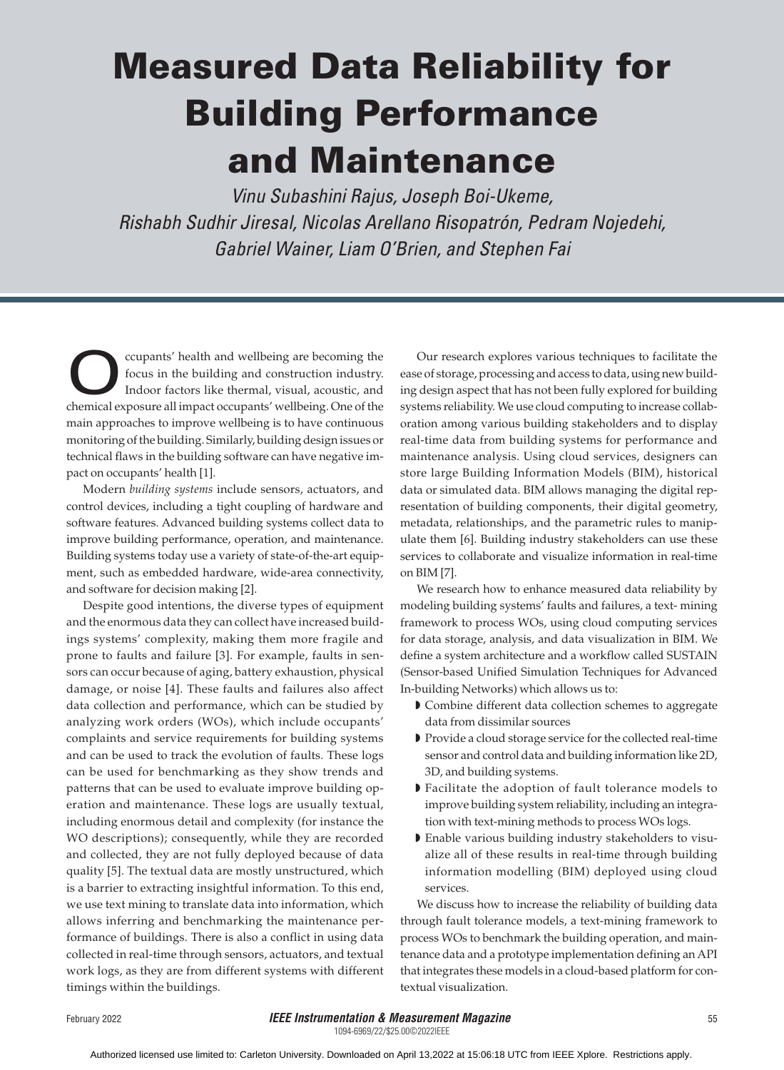# Measured Data Reliability for Building Performance and Maintenance

*Vinu Subashini Rajus, Joseph Boi-Ukeme, Rishabh Sudhir Jiresal, Nicolas Arellano Risopatrón, Pedram Nojedehi, Gabriel Wainer, Liam O'Brien, and Stephen Fai*

Compants' health and wellbeing are becoming the<br>focus in the building and construction industry.<br>Indoor factors like thermal, visual, acoustic, and<br>chemical exposure all impact occupants' wellbeing. One of the focus in the building and construction industry. Indoor factors like thermal, visual, acoustic, and chemical exposure all impact occupants' wellbeing. One of the main approaches to improve wellbeing is to have continuous monitoring of the building. Similarly, building design issues or technical flaws in the building software can have negative impact on occupants' health [1].

Modern *building systems* include sensors, actuators, and control devices, including a tight coupling of hardware and software features. Advanced building systems collect data to improve building performance, operation, and maintenance. Building systems today use a variety of state-of-the-art equipment, such as embedded hardware, wide-area connectivity, and software for decision making [2].

Despite good intentions, the diverse types of equipment and the enormous data they can collect have increased buildings systems' complexity, making them more fragile and prone to faults and failure [3]. For example, faults in sensors can occur because of aging, battery exhaustion, physical damage, or noise [4]. These faults and failures also affect data collection and performance, which can be studied by analyzing work orders (WOs), which include occupants' complaints and service requirements for building systems and can be used to track the evolution of faults. These logs can be used for benchmarking as they show trends and patterns that can be used to evaluate improve building operation and maintenance. These logs are usually textual, including enormous detail and complexity (for instance the WO descriptions); consequently, while they are recorded and collected, they are not fully deployed because of data quality [5]. The textual data are mostly unstructured, which is a barrier to extracting insightful information. To this end, we use text mining to translate data into information, which allows inferring and benchmarking the maintenance performance of buildings. There is also a conflict in using data collected in real-time through sensors, actuators, and textual work logs, as they are from different systems with different timings within the buildings.

Our research explores various techniques to facilitate the ease of storage, processing and access to data, using new building design aspect that has not been fully explored for building systems reliability. We use cloud computing to increase collaboration among various building stakeholders and to display real-time data from building systems for performance and maintenance analysis. Using cloud services, designers can store large Building Information Models (BIM), historical data or simulated data. BIM allows managing the digital representation of building components, their digital geometry, metadata, relationships, and the parametric rules to manipulate them [6]. Building industry stakeholders can use these services to collaborate and visualize information in real-time on BIM [7].

We research how to enhance measured data reliability by modeling building systems' faults and failures, a text- mining framework to process WOs, using cloud computing services for data storage, analysis, and data visualization in BIM. We define a system architecture and a workflow called SUSTAIN (Sensor-based Unified Simulation Techniques for Advanced In-building Networks) which allows us to:

- ◗ Combine different data collection schemes to aggregate data from dissimilar sources
- ◗ Provide a cloud storage service for the collected real-time sensor and control data and building information like 2D, 3D, and building systems.
- ◗ Facilitate the adoption of fault tolerance models to improve building system reliability, including an integration with text-mining methods to process WOs logs.
- ◗ Enable various building industry stakeholders to visualize all of these results in real-time through building information modelling (BIM) deployed using cloud services.

We discuss how to increase the reliability of building data through fault tolerance models, a text-mining framework to process WOs to benchmark the building operation, and maintenance data and a prototype implementation defining an API that integrates these models in a cloud-based platform for contextual visualization.

1094-6969/22/\$25.00©2022IEEE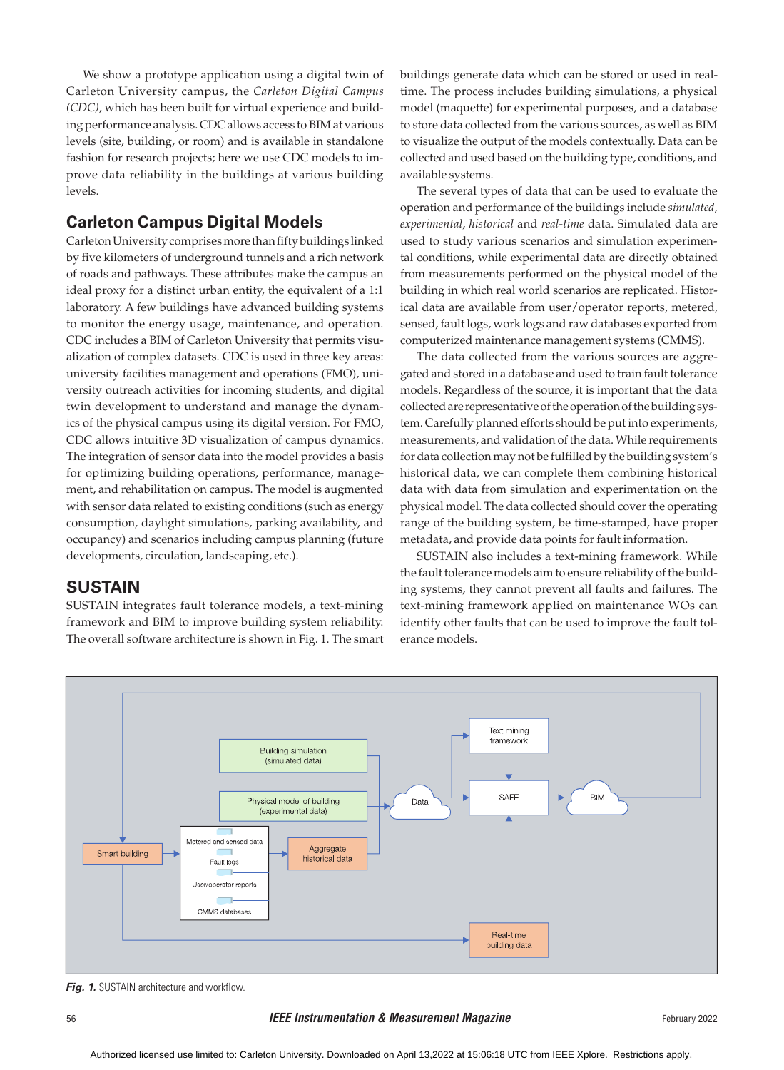We show a prototype application using a digital twin of Carleton University campus, the *Carleton Digital Campus (CDC)*, which has been built for virtual experience and building performance analysis. CDC allows access to BIM at various levels (site, building, or room) and is available in standalone fashion for research projects; here we use CDC models to improve data reliability in the buildings at various building levels.

# **Carleton Campus Digital Models**

Carleton University comprises more than fifty buildings linked by five kilometers of underground tunnels and a rich network of roads and pathways. These attributes make the campus an ideal proxy for a distinct urban entity, the equivalent of a 1:1 laboratory. A few buildings have advanced building systems to monitor the energy usage, maintenance, and operation. CDC includes a BIM of Carleton University that permits visualization of complex datasets. CDC is used in three key areas: university facilities management and operations (FMO), university outreach activities for incoming students, and digital twin development to understand and manage the dynamics of the physical campus using its digital version. For FMO, CDC allows intuitive 3D visualization of campus dynamics. The integration of sensor data into the model provides a basis for optimizing building operations, performance, management, and rehabilitation on campus. The model is augmented with sensor data related to existing conditions (such as energy consumption, daylight simulations, parking availability, and occupancy) and scenarios including campus planning (future developments, circulation, landscaping, etc.).

## **SUSTAIN**

SUSTAIN integrates fault tolerance models, a text-mining framework and BIM to improve building system reliability. The overall software architecture is shown in Fig. 1. The smart buildings generate data which can be stored or used in realtime. The process includes building simulations, a physical model (maquette) for experimental purposes, and a database to store data collected from the various sources, as well as BIM to visualize the output of the models contextually. Data can be collected and used based on the building type, conditions, and available systems.

The several types of data that can be used to evaluate the operation and performance of the buildings include *simulated*, *experimental*, *historical* and *real-time* data. Simulated data are used to study various scenarios and simulation experimental conditions, while experimental data are directly obtained from measurements performed on the physical model of the building in which real world scenarios are replicated. Historical data are available from user/operator reports, metered, sensed, fault logs, work logs and raw databases exported from computerized maintenance management systems (CMMS).

The data collected from the various sources are aggregated and stored in a database and used to train fault tolerance models. Regardless of the source, it is important that the data collected are representative of the operation of the building system. Carefully planned efforts should be put into experiments, measurements, and validation of the data. While requirements for data collection may not be fulfilled by the building system's historical data, we can complete them combining historical data with data from simulation and experimentation on the physical model. The data collected should cover the operating range of the building system, be time-stamped, have proper metadata, and provide data points for fault information.

SUSTAIN also includes a text-mining framework. While the fault tolerance models aim to ensure reliability of the building systems, they cannot prevent all faults and failures. The text-mining framework applied on maintenance WOs can identify other faults that can be used to improve the fault tolerance models.



**Fig. 1.** SUSTAIN architecture and workflow.

#### 56 *IEEE Instrumentation & Measurement Magazine* February 2022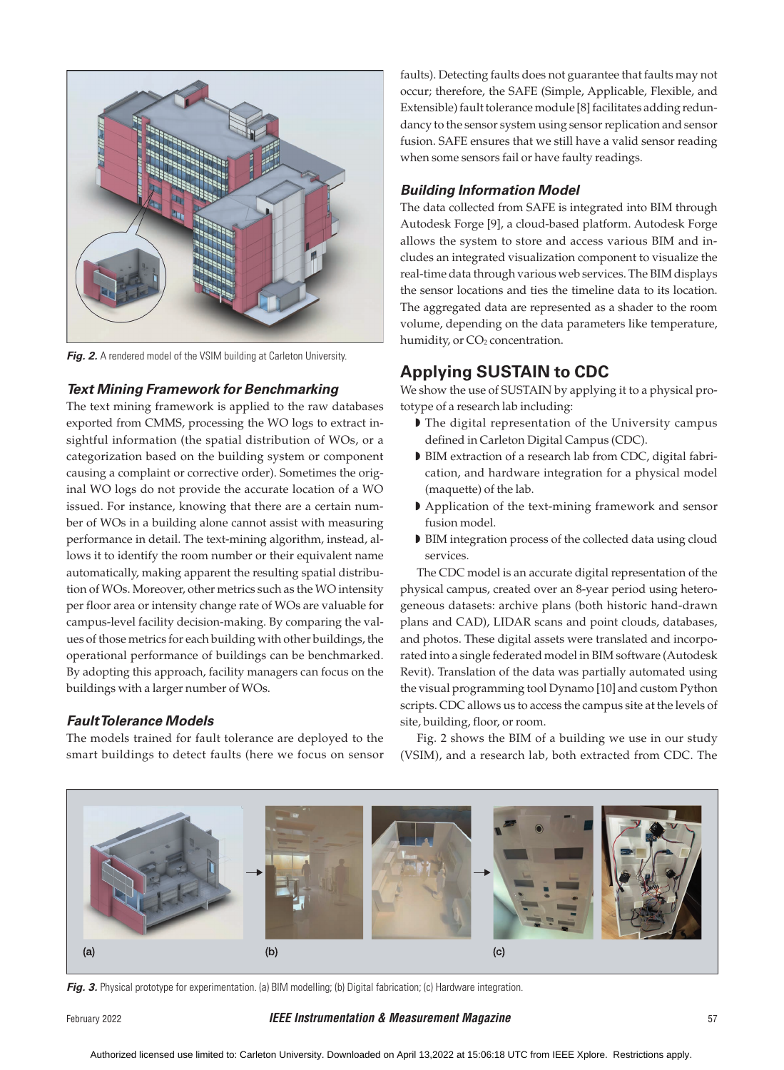

**Fig. 2.** A rendered model of the VSIM building at Carleton University.

#### *Text Mining Framework for Benchmarking*

The text mining framework is applied to the raw databases exported from CMMS, processing the WO logs to extract insightful information (the spatial distribution of WOs, or a categorization based on the building system or component causing a complaint or corrective order). Sometimes the original WO logs do not provide the accurate location of a WO issued. For instance, knowing that there are a certain number of WOs in a building alone cannot assist with measuring performance in detail. The text-mining algorithm, instead, allows it to identify the room number or their equivalent name automatically, making apparent the resulting spatial distribution of WOs. Moreover, other metrics such as the WO intensity per floor area or intensity change rate of WOs are valuable for campus-level facility decision-making. By comparing the values of those metrics for each building with other buildings, the operational performance of buildings can be benchmarked. By adopting this approach, facility managers can focus on the buildings with a larger number of WOs.

#### *Fault Tolerance Models*

The models trained for fault tolerance are deployed to the smart buildings to detect faults (here we focus on sensor faults). Detecting faults does not guarantee that faults may not occur; therefore, the SAFE (Simple, Applicable, Flexible, and Extensible) fault tolerance module [8] facilitates adding redundancy to the sensor system using sensor replication and sensor fusion. SAFE ensures that we still have a valid sensor reading when some sensors fail or have faulty readings.

#### *Building Information Model*

The data collected from SAFE is integrated into BIM through Autodesk Forge [9], a cloud-based platform. Autodesk Forge allows the system to store and access various BIM and includes an integrated visualization component to visualize the real-time data through various web services. The BIM displays the sensor locations and ties the timeline data to its location. The aggregated data are represented as a shader to the room volume, depending on the data parameters like temperature, humidity, or CO<sub>2</sub> concentration.

## **Applying SUSTAIN to CDC**

We show the use of SUSTAIN by applying it to a physical prototype of a research lab including:

- ◗ The digital representation of the University campus defined in Carleton Digital Campus (CDC).
- ◗ BIM extraction of a research lab from CDC, digital fabrication, and hardware integration for a physical model (maquette) of the lab.
- ◗ Application of the text-mining framework and sensor fusion model.
- ◗ BIM integration process of the collected data using cloud services.

The CDC model is an accurate digital representation of the physical campus, created over an 8-year period using heterogeneous datasets: archive plans (both historic hand-drawn plans and CAD), LIDAR scans and point clouds, databases, and photos. These digital assets were translated and incorporated into a single federated model in BIM software (Autodesk Revit). Translation of the data was partially automated using the visual programming tool Dynamo [10] and custom Python scripts. CDC allows us to access the campus site at the levels of site, building, floor, or room.

Fig. 2 shows the BIM of a building we use in our study (VSIM), and a research lab, both extracted from CDC. The



Fig. 3. Physical prototype for experimentation. (a) BIM modelling; (b) Digital fabrication; (c) Hardware integration.

#### February 2022 *IEEE Instrumentation & Measurement Magazine* 57

Authorized licensed use limited to: Carleton University. Downloaded on April 13,2022 at 15:06:18 UTC from IEEE Xplore. Restrictions apply.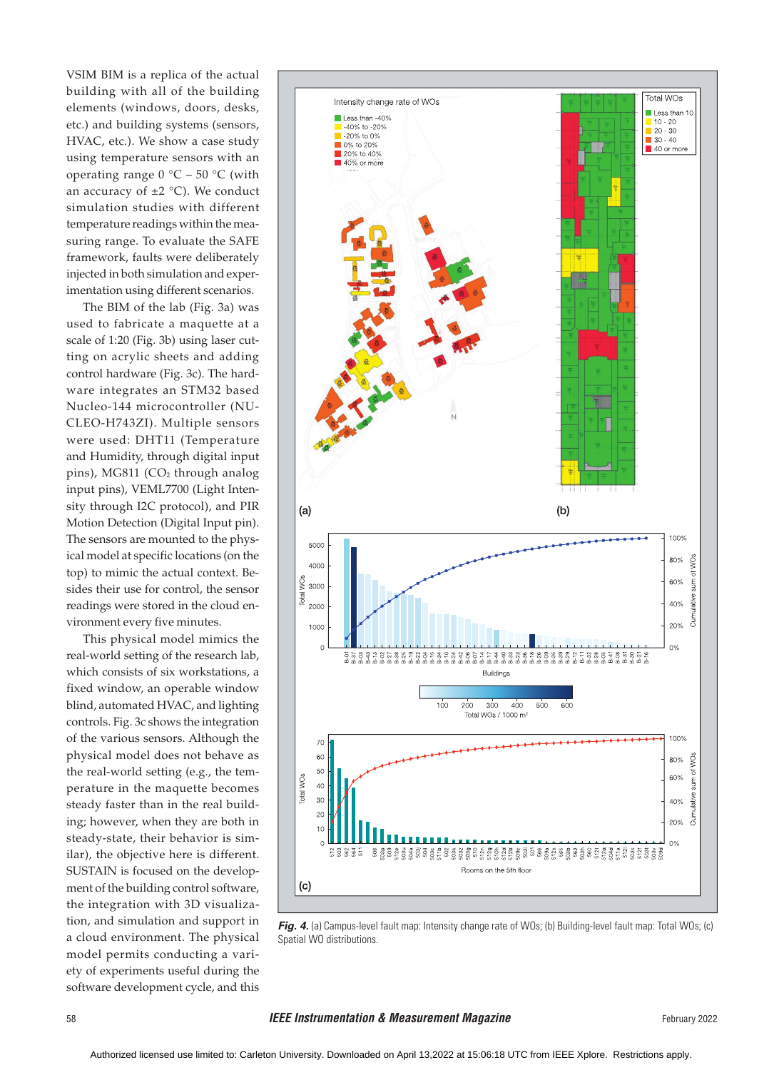VSIM BIM is a replica of the actual building with all of the building elements (windows, doors, desks, etc.) and building systems (sensors, HVAC, etc.). We show a case study using temperature sensors with an operating range  $0^{\circ}C - 50^{\circ}C$  (with an accuracy of  $\pm 2$  °C). We conduct simulation studies with different temperature readings within the measuring range. To evaluate the SAFE framework, faults were deliberately injected in both simulation and experimentation using different scenarios.

The BIM of the lab (Fig. 3a) was used to fabricate a maquette at a scale of 1:20 (Fig. 3b) using laser cutting on acrylic sheets and adding control hardware (Fig. 3c). The hardware integrates an STM32 based Nucleo-144 microcontroller (NU-CLEO-H743ZI). Multiple sensors were used: DHT11 (Temperature and Humidity, through digital input pins), MG811  $(CO<sub>2</sub>$  through analog input pins), VEML7700 (Light Intensity through I2C protocol), and PIR Motion Detection (Digital Input pin). The sensors are mounted to the physical model at specific locations (on the top) to mimic the actual context. Besides their use for control, the sensor readings were stored in the cloud environment every five minutes.

This physical model mimics the real-world setting of the research lab, which consists of six workstations, a fixed window, an operable window blind, automated HVAC, and lighting controls. Fig. 3c shows the integration of the various sensors. Although the physical model does not behave as the real-world setting (e.g., the temperature in the maquette becomes steady faster than in the real building; however, when they are both in steady-state, their behavior is similar), the objective here is different. SUSTAIN is focused on the development of the building control software, the integration with 3D visualization, and simulation and support in a cloud environment. The physical model permits conducting a variety of experiments useful during the software development cycle, and this



*Fig. 4.* (a) Campus-level fault map: Intensity change rate of WOs; (b) Building-level fault map: Total WOs; (c) Spatial WO distributions.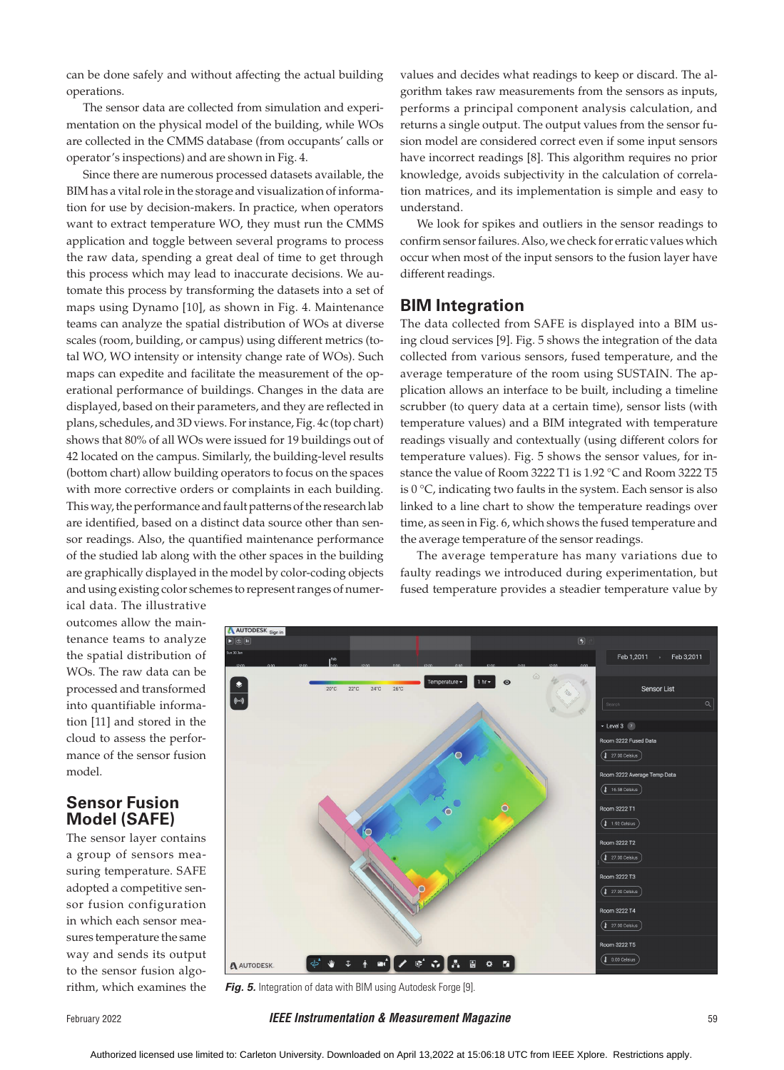can be done safely and without affecting the actual building operations.

The sensor data are collected from simulation and experimentation on the physical model of the building, while WOs are collected in the CMMS database (from occupants' calls or operator's inspections) and are shown in Fig. 4.

Since there are numerous processed datasets available, the BIM has a vital role in the storage and visualization of information for use by decision-makers. In practice, when operators want to extract temperature WO, they must run the CMMS application and toggle between several programs to process the raw data, spending a great deal of time to get through this process which may lead to inaccurate decisions. We automate this process by transforming the datasets into a set of maps using Dynamo [10], as shown in Fig. 4. Maintenance teams can analyze the spatial distribution of WOs at diverse scales (room, building, or campus) using different metrics (total WO, WO intensity or intensity change rate of WOs). Such maps can expedite and facilitate the measurement of the operational performance of buildings. Changes in the data are displayed, based on their parameters, and they are reflected in plans, schedules, and 3D views. For instance, Fig. 4c (top chart) shows that 80% of all WOs were issued for 19 buildings out of 42 located on the campus. Similarly, the building-level results (bottom chart) allow building operators to focus on the spaces with more corrective orders or complaints in each building. This way, the performance and fault patterns of the research lab are identified, based on a distinct data source other than sensor readings. Also, the quantified maintenance performance of the studied lab along with the other spaces in the building are graphically displayed in the model by color-coding objects and using existing color schemes to represent ranges of numervalues and decides what readings to keep or discard. The algorithm takes raw measurements from the sensors as inputs, performs a principal component analysis calculation, and returns a single output. The output values from the sensor fusion model are considered correct even if some input sensors have incorrect readings [8]. This algorithm requires no prior knowledge, avoids subjectivity in the calculation of correlation matrices, and its implementation is simple and easy to understand.

We look for spikes and outliers in the sensor readings to confirm sensor failures. Also, we check for erratic values which occur when most of the input sensors to the fusion layer have different readings.

## **BIM Integration**

The data collected from SAFE is displayed into a BIM using cloud services [9]. Fig. 5 shows the integration of the data collected from various sensors, fused temperature, and the average temperature of the room using SUSTAIN. The application allows an interface to be built, including a timeline scrubber (to query data at a certain time), sensor lists (with temperature values) and a BIM integrated with temperature readings visually and contextually (using different colors for temperature values). Fig. 5 shows the sensor values, for instance the value of Room 3222 T1 is 1.92 °C and Room 3222 T5 is 0 °C, indicating two faults in the system. Each sensor is also linked to a line chart to show the temperature readings over time, as seen in Fig. 6, which shows the fused temperature and the average temperature of the sensor readings.

The average temperature has many variations due to faulty readings we introduced during experimentation, but fused temperature provides a steadier temperature value by

ical data. The illustrative outcomes allow the maintenance teams to analyze the spatial distribution of WOs. The raw data can be processed and transformed into quantifiable information [11] and stored in the cloud to assess the performance of the sensor fusion model.

## **Sensor Fusion Model (SAFE)**

The sensor layer contains a group of sensors measuring temperature. SAFE adopted a competitive sensor fusion configuration in which each sensor measures temperature the same way and sends its output to the sensor fusion algorithm, which examines the



**Fig. 5.** Integration of data with BIM using Autodesk Forge [9].

February 2022 *IEEE Instrumentation & Measurement Magazine* 59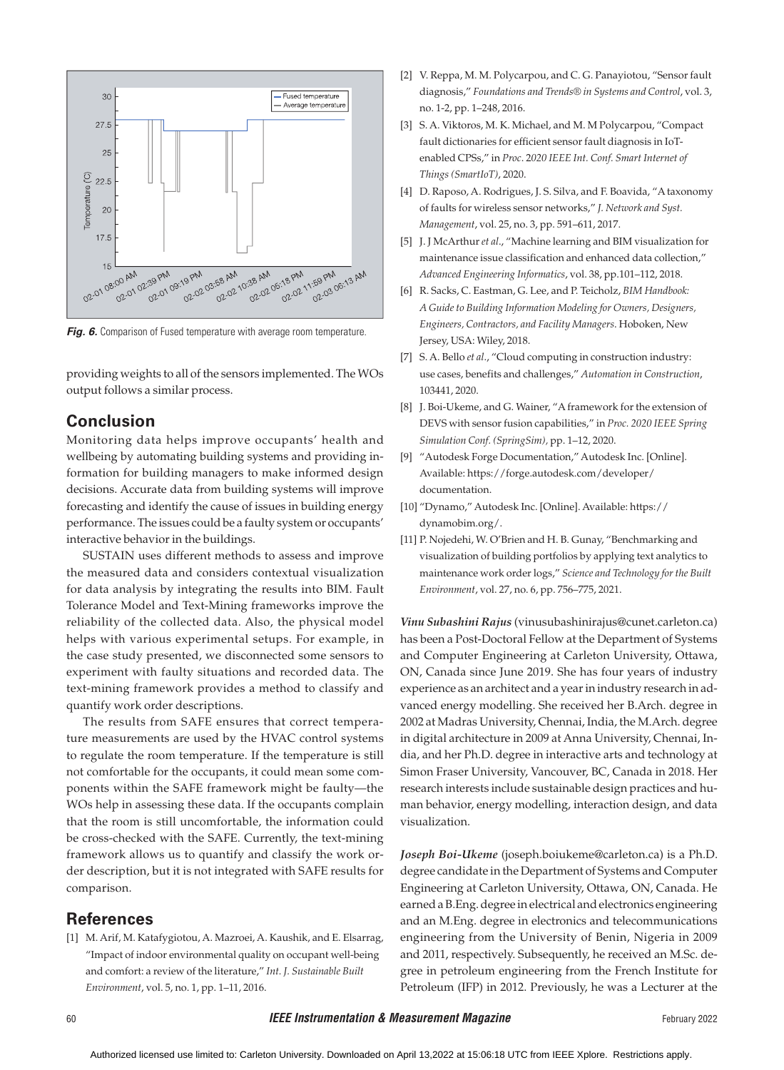

*Fig. 6.* Comparison of Fused temperature with average room temperature.

providing weights to all of the sensors implemented. The WOs output follows a similar process.

## **Conclusion**

Monitoring data helps improve occupants' health and wellbeing by automating building systems and providing information for building managers to make informed design decisions. Accurate data from building systems will improve forecasting and identify the cause of issues in building energy performance. The issues could be a faulty system or occupants' interactive behavior in the buildings.

SUSTAIN uses different methods to assess and improve the measured data and considers contextual visualization for data analysis by integrating the results into BIM. Fault Tolerance Model and Text-Mining frameworks improve the reliability of the collected data. Also, the physical model helps with various experimental setups. For example, in the case study presented, we disconnected some sensors to experiment with faulty situations and recorded data. The text-mining framework provides a method to classify and quantify work order descriptions.

The results from SAFE ensures that correct temperature measurements are used by the HVAC control systems to regulate the room temperature. If the temperature is still not comfortable for the occupants, it could mean some components within the SAFE framework might be faulty—the WOs help in assessing these data. If the occupants complain that the room is still uncomfortable, the information could be cross-checked with the SAFE. Currently, the text-mining framework allows us to quantify and classify the work order description, but it is not integrated with SAFE results for comparison.

### **References**

[1] M. Arif, M. Katafygiotou, A. Mazroei, A. Kaushik, and E. Elsarrag, "Impact of indoor environmental quality on occupant well-being and comfort: a review of the literature," *Int. J. Sustainable Built Environment*, vol. 5, no. 1, pp. 1–11, 2016.

- [2] V. Reppa, M. M. Polycarpou, and C. G. Panayiotou, "Sensor fault diagnosis," *Foundations and Trends® in Systems and Control*, vol. 3, no. 1-2, pp. 1–248, 2016.
- [3] S. A. Viktoros, M. K. Michael, and M. M Polycarpou, "Compact fault dictionaries for efficient sensor fault diagnosis in IoTenabled CPSs," in *Proc*. 2*020 IEEE Int. Conf. Smart Internet of Things (SmartIoT)*, 2020.
- [4] D. Raposo, A. Rodrigues, J. S. Silva, and F. Boavida, "A taxonomy of faults for wireless sensor networks," *J. Network and Syst. Management*, vol. 25, no. 3, pp. 591–611, 2017.
- [5] J. J McArthur *et al*., "Machine learning and BIM visualization for maintenance issue classification and enhanced data collection," *Advanced Engineering Informatics*, vol. 38, pp.101–112, 2018.
- [6] R. Sacks, C. Eastman, G. Lee, and P. Teicholz, *BIM Handbook: A Guide to Building Information Modeling for Owners, Designers, Engineers, Contractors, and Facility Managers*. Hoboken, New Jersey, USA: Wiley, 2018.
- [7] S. A. Bello *et al*., "Cloud computing in construction industry: use cases, benefits and challenges," *Automation in Construction*, 103441, 2020.
- [8] J. Boi-Ukeme, and G. Wainer, "A framework for the extension of DEVS with sensor fusion capabilities," in *Proc. 2020 IEEE Spring Simulation Conf. (SpringSim),* pp. 1–12, 2020.
- [9] "Autodesk Forge Documentation," Autodesk Inc. [Online]. Available: https://forge.autodesk.com/developer/ documentation.
- [10] "Dynamo," Autodesk Inc. [Online]. Available: https:// dynamobim.org/.
- [11] P. Nojedehi, W. O'Brien and H. B. Gunay, "Benchmarking and visualization of building portfolios by applying text analytics to maintenance work order logs," *Science and Technology for the Built Environment*, vol. 27, no. 6, pp. 756–775, 2021.

*Vinu Subashini Rajus* (vinusubashinirajus@cunet.carleton.ca) has been a Post-Doctoral Fellow at the Department of Systems and Computer Engineering at Carleton University, Ottawa, ON, Canada since June 2019. She has four years of industry experience as an architect and a year in industry research in advanced energy modelling. She received her B.Arch. degree in 2002 at Madras University, Chennai, India, the M.Arch. degree in digital architecture in 2009 at Anna University, Chennai, India, and her Ph.D. degree in interactive arts and technology at Simon Fraser University, Vancouver, BC, Canada in 2018. Her research interests include sustainable design practices and human behavior, energy modelling, interaction design, and data visualization.

*Joseph Boi-Ukeme* (joseph.boiukeme@carleton.ca) is a Ph.D. degree candidate in the Department of Systems and Computer Engineering at Carleton University, Ottawa, ON, Canada. He earned a B.Eng. degree in electrical and electronics engineering and an M.Eng. degree in electronics and telecommunications engineering from the University of Benin, Nigeria in 2009 and 2011, respectively. Subsequently, he received an M.Sc. degree in petroleum engineering from the French Institute for Petroleum (IFP) in 2012. Previously, he was a Lecturer at the